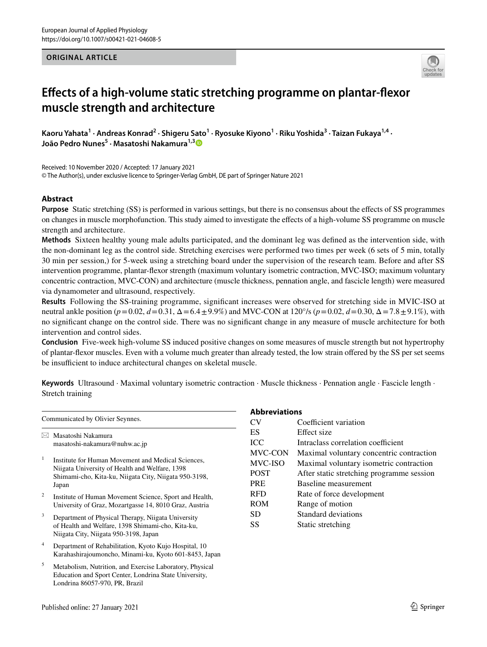#### **ORIGINAL ARTICLE**



# **Efects of a high‑volume static stretching programme on plantar‑fexor muscle strength and architecture**

Kaoru Yahata<sup>1</sup> · Andreas Konrad<sup>2</sup> · Shigeru Sato<sup>1</sup> · Ryosuke Kiyono<sup>1</sup> · Riku Yoshida<sup>3</sup> · Taizan Fukaya<sup>1,4</sup> · **João Pedro Nunes<sup>5</sup> · Masatoshi Nakamura1,[3](http://orcid.org/0000-0002-8184-1121)**

Received: 10 November 2020 / Accepted: 17 January 2021 © The Author(s), under exclusive licence to Springer-Verlag GmbH, DE part of Springer Nature 2021

## **Abstract**

**Purpose** Static stretching (SS) is performed in various settings, but there is no consensus about the efects of SS programmes on changes in muscle morphofunction. This study aimed to investigate the efects of a high-volume SS programme on muscle strength and architecture.

**Methods** Sixteen healthy young male adults participated, and the dominant leg was defned as the intervention side, with the non-dominant leg as the control side. Stretching exercises were performed two times per week (6 sets of 5 min, totally 30 min per session,) for 5-week using a stretching board under the supervision of the research team. Before and after SS intervention programme, plantar-fexor strength (maximum voluntary isometric contraction, MVC-ISO; maximum voluntary concentric contraction, MVC-CON) and architecture (muscle thickness, pennation angle, and fascicle length) were measured via dynamometer and ultrasound, respectively.

**Results** Following the SS-training programme, signifcant increases were observed for stretching side in MVIC-ISO at neutral ankle position (*p*=0.02, *d*=0.31, Δ=6.4±9.9%) and MVC-CON at 120°/s (*p*=0.02, *d*=0.30, Δ=7.8±9.1%), with no signifcant change on the control side. There was no signifcant change in any measure of muscle architecture for both intervention and control sides.

**Conclusion** Five-week high-volume SS induced positive changes on some measures of muscle strength but not hypertrophy of plantar-fexor muscles. Even with a volume much greater than already tested, the low strain ofered by the SS per set seems be insufficient to induce architectural changes on skeletal muscle.

| Communicated by Olivier Seynnes. |                                                                                                                                                                        |  |  |  |
|----------------------------------|------------------------------------------------------------------------------------------------------------------------------------------------------------------------|--|--|--|
| ⋈                                | Masatoshi Nakamura<br>masatoshi-nakamura@nuhw.ac.jp                                                                                                                    |  |  |  |
| $\mathbf{1}$                     | Institute for Human Movement and Medical Sciences,<br>Niigata University of Health and Welfare, 1398<br>Shimami-cho, Kita-ku, Niigata City, Niigata 950-3198,<br>Japan |  |  |  |
| $\overline{c}$                   | Institute of Human Movement Science, Sport and Health,<br>University of Graz, Mozartgasse 14, 8010 Graz, Austria                                                       |  |  |  |
| 3                                | Department of Physical Therapy, Niigata University<br>of Health and Welfare, 1398 Shimami-cho, Kita-ku,<br>Niigata City, Niigata 950-3198, Japan                       |  |  |  |
| 4                                | Department of Rehabilitation, Kyoto Kujo Hospital, 10<br>Karahashirajoumoncho, Minami-ku, Kyoto 601-8453, Japan                                                        |  |  |  |
| 5                                | Metabolism, Nutrition, and Exercise Laboratory, Physical<br>Education and Sport Center, Londrina State University,<br>Londrina 86057-970, PR, Brazil                   |  |  |  |

Keywords Ultrasound · Maximal voluntary isometric contraction · Muscle thickness · Pennation angle · Fascicle length · Stretch training

| <b>Abbreviations</b> |                                           |  |  |  |  |
|----------------------|-------------------------------------------|--|--|--|--|
| CV                   | Coefficient variation                     |  |  |  |  |
| ES                   | Effect size                               |  |  |  |  |
| <b>ICC</b>           | Intraclass correlation coefficient        |  |  |  |  |
| MVC-CON              | Maximal voluntary concentric contraction  |  |  |  |  |
| MVC-ISO              | Maximal voluntary isometric contraction   |  |  |  |  |
| <b>POST</b>          | After static stretching programme session |  |  |  |  |
| <b>PRE</b>           | Baseline measurement                      |  |  |  |  |
| <b>RFD</b>           | Rate of force development                 |  |  |  |  |
| <b>ROM</b>           | Range of motion                           |  |  |  |  |
| SD                   | Standard deviations                       |  |  |  |  |
| SS                   | Static stretching                         |  |  |  |  |
|                      |                                           |  |  |  |  |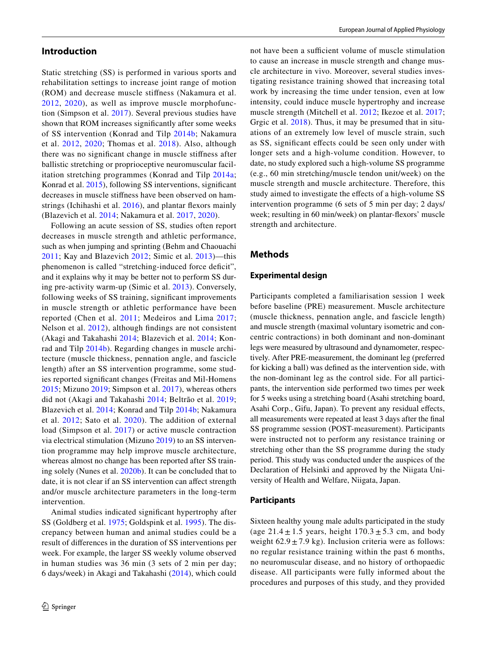## **Introduction**

Static stretching (SS) is performed in various sports and rehabilitation settings to increase joint range of motion (ROM) and decrease muscle stifness (Nakamura et al. [2012,](#page-7-0) [2020\)](#page-7-1), as well as improve muscle morphofunction (Simpson et al. [2017](#page-7-2)). Several previous studies have shown that ROM increases signifcantly after some weeks of SS intervention (Konrad and Tilp [2014b](#page-7-3); Nakamura et al. [2012,](#page-7-0) [2020](#page-7-1); Thomas et al. [2018\)](#page-7-4). Also, although there was no signifcant change in muscle stifness after ballistic stretching or proprioceptive neuromuscular facilitation stretching programmes (Konrad and Tilp [2014a](#page-7-5); Konrad et al. [2015\)](#page-7-6), following SS interventions, signifcant decreases in muscle stifness have been observed on hamstrings (Ichihashi et al. [2016\)](#page-7-7), and plantar fexors mainly (Blazevich et al. [2014](#page-6-0); Nakamura et al. [2017,](#page-7-8) [2020\)](#page-7-1).

Following an acute session of SS, studies often report decreases in muscle strength and athletic performance, such as when jumping and sprinting (Behm and Chaouachi [2011;](#page-6-1) Kay and Blazevich [2012;](#page-7-9) Simic et al. [2013](#page-7-10))—this phenomenon is called "stretching-induced force deficit", and it explains why it may be better not to perform SS during pre-activity warm-up (Simic et al. [2013\)](#page-7-10). Conversely, following weeks of SS training, significant improvements in muscle strength or athletic performance have been reported (Chen et al. [2011](#page-6-2); Medeiros and Lima [2017](#page-7-11); Nelson et al. [2012\)](#page-7-12), although fndings are not consistent (Akagi and Takahashi [2014](#page-6-3); Blazevich et al. [2014](#page-6-0); Konrad and Tilp [2014b\)](#page-7-3). Regarding changes in muscle architecture (muscle thickness, pennation angle, and fascicle length) after an SS intervention programme, some studies reported signifcant changes (Freitas and Mil-Homens [2015;](#page-6-4) Mizuno [2019](#page-7-13); Simpson et al. [2017](#page-7-2)), whereas others did not (Akagi and Takahashi [2014](#page-6-3); Beltrão et al. [2019](#page-6-5); Blazevich et al. [2014;](#page-6-0) Konrad and Tilp [2014b;](#page-7-3) Nakamura et al. [2012;](#page-7-0) Sato et al. [2020](#page-7-14)). The addition of external load (Simpson et al. [2017](#page-7-2)) or active muscle contraction via electrical stimulation (Mizuno [2019](#page-7-13)) to an SS intervention programme may help improve muscle architecture, whereas almost no change has been reported after SS training solely (Nunes et al. [2020b\)](#page-7-15). It can be concluded that to date, it is not clear if an SS intervention can affect strength and/or muscle architecture parameters in the long-term intervention.

Animal studies indicated signifcant hypertrophy after SS (Goldberg et al. [1975;](#page-6-6) Goldspink et al. [1995\)](#page-6-7). The discrepancy between human and animal studies could be a result of diferences in the duration of SS interventions per week. For example, the larger SS weekly volume observed in human studies was 36 min (3 sets of 2 min per day; 6 days/week) in Akagi and Takahashi ([2014\)](#page-6-3), which could

not have been a sufficient volume of muscle stimulation to cause an increase in muscle strength and change muscle architecture in vivo. Moreover, several studies investigating resistance training showed that increasing total work by increasing the time under tension, even at low intensity, could induce muscle hypertrophy and increase muscle strength (Mitchell et al. [2012;](#page-7-16) Ikezoe et al. [2017](#page-7-17); Grgic et al. [2018](#page-6-8)). Thus, it may be presumed that in situations of an extremely low level of muscle strain, such as SS, signifcant efects could be seen only under with longer sets and a high-volume condition. However, to date, no study explored such a high-volume SS programme (e.g., 60 min stretching/muscle tendon unit/week) on the muscle strength and muscle architecture. Therefore, this study aimed to investigate the efects of a high-volume SS intervention programme (6 sets of 5 min per day; 2 days/ week; resulting in 60 min/week) on plantar-fexors' muscle strength and architecture.

## **Methods**

#### **Experimental design**

Participants completed a familiarisation session 1 week before baseline (PRE) measurement. Muscle architecture (muscle thickness, pennation angle, and fascicle length) and muscle strength (maximal voluntary isometric and concentric contractions) in both dominant and non-dominant legs were measured by ultrasound and dynamometer, respectively. After PRE-measurement, the dominant leg (preferred for kicking a ball) was defned as the intervention side, with the non-dominant leg as the control side. For all participants, the intervention side performed two times per week for 5 weeks using a stretching board (Asahi stretching board, Asahi Corp., Gifu, Japan). To prevent any residual effects, all measurements were repeated at least 3 days after the fnal SS programme session (POST-measurement). Participants were instructed not to perform any resistance training or stretching other than the SS programme during the study period. This study was conducted under the auspices of the Declaration of Helsinki and approved by the Niigata University of Health and Welfare, Niigata, Japan.

#### **Participants**

Sixteen healthy young male adults participated in the study (age  $21.4 \pm 1.5$  years, height  $170.3 \pm 5.3$  cm, and body weight  $62.9 \pm 7.9$  kg). Inclusion criteria were as follows: no regular resistance training within the past 6 months, no neuromuscular disease, and no history of orthopaedic disease. All participants were fully informed about the procedures and purposes of this study, and they provided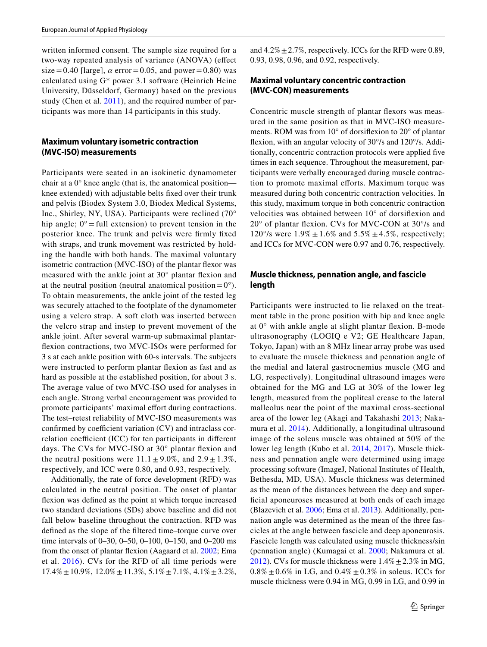written informed consent. The sample size required for a two-way repeated analysis of variance (ANOVA) (efect size=0.40 [large],  $\alpha$  error=0.05, and power=0.80) was calculated using G\* power 3.1 software (Heinrich Heine University, Düsseldorf, Germany) based on the previous study (Chen et al. [2011\)](#page-6-2), and the required number of participants was more than 14 participants in this study.

## **Maximum voluntary isometric contraction (MVC‑ISO) measurements**

Participants were seated in an isokinetic dynamometer chair at a 0° knee angle (that is, the anatomical position knee extended) with adjustable belts fxed over their trunk and pelvis (Biodex System 3.0, Biodex Medical Systems, Inc., Shirley, NY, USA). Participants were reclined (70° hip angle;  $0^\circ$  = full extension) to prevent tension in the posterior knee. The trunk and pelvis were frmly fxed with straps, and trunk movement was restricted by holding the handle with both hands. The maximal voluntary isometric contraction (MVC-ISO) of the plantar fexor was measured with the ankle joint at 30° plantar fexion and at the neutral position (neutral anatomical position =  $0^{\circ}$ ). To obtain measurements, the ankle joint of the tested leg was securely attached to the footplate of the dynamometer using a velcro strap. A soft cloth was inserted between the velcro strap and instep to prevent movement of the ankle joint. After several warm-up submaximal plantarfexion contractions, two MVC-ISOs were performed for 3 s at each ankle position with 60-s intervals. The subjects were instructed to perform plantar fexion as fast and as hard as possible at the established position, for about 3 s. The average value of two MVC-ISO used for analyses in each angle. Strong verbal encouragement was provided to promote participants' maximal effort during contractions. The test–retest reliability of MVC-ISO measurements was confirmed by coefficient variation  $(CV)$  and intraclass correlation coefficient (ICC) for ten participants in different days. The CVs for MVC-ISO at 30° plantar fexion and the neutral positions were  $11.1 \pm 9.0\%$ , and  $2.9 \pm 1.3\%$ , respectively, and ICC were 0.80, and 0.93, respectively.

Additionally, the rate of force development (RFD) was calculated in the neutral position. The onset of plantar fexion was defned as the point at which torque increased two standard deviations (SDs) above baseline and did not fall below baseline throughout the contraction. RFD was defned as the slope of the fltered time–torque curve over time intervals of 0–30, 0–50, 0–100, 0–150, and 0–200 ms from the onset of plantar fexion (Aagaard et al. [2002](#page-6-9); Ema et al. [2016](#page-6-10)). CVs for the RFD of all time periods were  $17.4\% \pm 10.9\%, 12.0\% \pm 11.3\%, 5.1\% \pm 7.1\%, 4.1\% \pm 3.2\%,$  and  $4.2\% \pm 2.7\%$ , respectively. ICCs for the RFD were 0.89, 0.93, 0.98, 0.96, and 0.92, respectively.

## **Maximal voluntary concentric contraction (MVC‑CON) measurements**

Concentric muscle strength of plantar fexors was measured in the same position as that in MVC-ISO measurements. ROM was from 10° of dorsifexion to 20° of plantar fexion, with an angular velocity of 30°/s and 120°/s. Additionally, concentric contraction protocols were applied fve times in each sequence. Throughout the measurement, participants were verbally encouraged during muscle contraction to promote maximal efforts. Maximum torque was measured during both concentric contraction velocities. In this study, maximum torque in both concentric contraction velocities was obtained between 10° of dorsifexion and 20° of plantar fexion. CVs for MVC-CON at 30°/s and 120°/s were  $1.9\% \pm 1.6\%$  and  $5.5\% \pm 4.5\%$ , respectively; and ICCs for MVC-CON were 0.97 and 0.76, respectively.

## **Muscle thickness, pennation angle, and fascicle length**

Participants were instructed to lie relaxed on the treatment table in the prone position with hip and knee angle at 0° with ankle angle at slight plantar fexion. B-mode ultrasonography (LOGIQ e V2; GE Healthcare Japan, Tokyo, Japan) with an 8 MHz linear array probe was used to evaluate the muscle thickness and pennation angle of the medial and lateral gastrocnemius muscle (MG and LG, respectively). Longitudinal ultrasound images were obtained for the MG and LG at 30% of the lower leg length, measured from the popliteal crease to the lateral malleolus near the point of the maximal cross-sectional area of the lower leg (Akagi and Takahashi [2013](#page-6-11); Nakamura et al. [2014\)](#page-7-18). Additionally, a longitudinal ultrasound image of the soleus muscle was obtained at 50% of the lower leg length (Kubo et al. [2014](#page-7-19), [2017\)](#page-7-20). Muscle thickness and pennation angle were determined using image processing software (ImageJ, National Institutes of Health, Bethesda, MD, USA). Muscle thickness was determined as the mean of the distances between the deep and superfcial aponeuroses measured at both ends of each image (Blazevich et al. [2006](#page-6-12); Ema et al. [2013\)](#page-6-13). Additionally, pennation angle was determined as the mean of the three fascicles at the angle between fascicle and deep aponeurosis. Fascicle length was calculated using muscle thickness/sin (pennation angle) (Kumagai et al. [2000;](#page-7-21) Nakamura et al. [2012](#page-7-0)). CVs for muscle thickness were  $1.4\% \pm 2.3\%$  in MG,  $0.8\% \pm 0.6\%$  in LG, and  $0.4\% \pm 0.3\%$  in soleus. ICCs for muscle thickness were 0.94 in MG, 0.99 in LG, and 0.99 in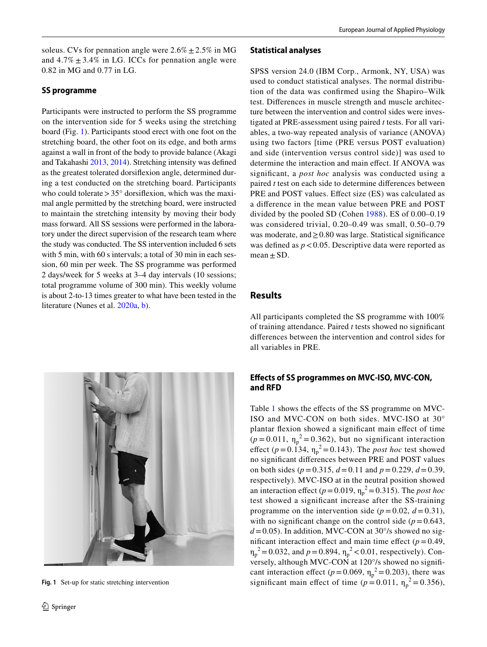soleus. CVs for pennation angle were  $2.6\% \pm 2.5\%$  in MG and  $4.7\% \pm 3.4\%$  in LG. ICCs for pennation angle were 0.82 in MG and 0.77 in LG.

## **SS programme**

Participants were instructed to perform the SS programme on the intervention side for 5 weeks using the stretching board (Fig. [1](#page-3-0)). Participants stood erect with one foot on the stretching board, the other foot on its edge, and both arms against a wall in front of the body to provide balance (Akagi and Takahashi [2013](#page-6-11), [2014\)](#page-6-3). Stretching intensity was defned as the greatest tolerated dorsifexion angle, determined during a test conducted on the stretching board. Participants who could tolerate  $>35^{\circ}$  dorsifiexion, which was the maximal angle permitted by the stretching board, were instructed to maintain the stretching intensity by moving their body mass forward. All SS sessions were performed in the laboratory under the direct supervision of the research team where the study was conducted. The SS intervention included 6 sets with 5 min, with 60 s intervals; a total of 30 min in each session, 60 min per week. The SS programme was performed 2 days/week for 5 weeks at 3–4 day intervals (10 sessions; total programme volume of 300 min). This weekly volume is about 2-to-13 times greater to what have been tested in the literature (Nunes et al. [2020a](#page-7-22), [b](#page-7-15)).



## **Statistical analyses**

SPSS version 24.0 (IBM Corp., Armonk, NY, USA) was used to conduct statistical analyses. The normal distribution of the data was confrmed using the Shapiro–Wilk test. Diferences in muscle strength and muscle architecture between the intervention and control sides were investigated at PRE-assessment using paired *t* tests. For all variables, a two-way repeated analysis of variance (ANOVA) using two factors [time (PRE versus POST evaluation) and side (intervention versus control side)] was used to determine the interaction and main efect. If ANOVA was signifcant, a *post hoc* analysis was conducted using a paired *t* test on each side to determine diferences between PRE and POST values. Efect size (ES) was calculated as a diference in the mean value between PRE and POST divided by the pooled SD (Cohen [1988](#page-6-14)). ES of 0.00–0.19 was considered trivial, 0.20–0.49 was small, 0.50–0.79 was moderate, and≥0.80 was large. Statistical signifcance was defined as  $p < 0.05$ . Descriptive data were reported as mean  $\pm$  SD.

# **Results**

All participants completed the SS programme with 100% of training attendance. Paired *t* tests showed no signifcant diferences between the intervention and control sides for all variables in PRE.

## **Efects of SS programmes on MVC‑ISO, MVC‑CON, and RFD**

<span id="page-3-0"></span>Table [1](#page-4-0) shows the efects of the SS programme on MVC-ISO and MVC-CON on both sides. MVC-ISO at 30° plantar flexion showed a significant main effect of time  $(p=0.011, \eta_p^2=0.362)$ , but no significant interaction effect ( $p = 0.134$ ,  $\eta_p^2 = 0.143$ ). The *post hoc* test showed no signifcant diferences between PRE and POST values on both sides (*p*=0.315, *d*=0.11 and *p*=0.229, *d*=0.39, respectively). MVC-ISO at in the neutral position showed an interaction effect ( $p = 0.019$ ,  $\eta_p^2 = 0.315$ ). The *post hoc* test showed a signifcant increase after the SS-training programme on the intervention side ( $p = 0.02$ ,  $d = 0.31$ ), with no significant change on the control side  $(p=0.643,$  $d = 0.05$ ). In addition, MVC-CON at 30 $\degree$ /s showed no significant interaction effect and main time effect  $(p=0.49,$  $\eta_p^2 = 0.032$ , and  $p = 0.894$ ,  $\eta_p^2 < 0.01$ , respectively). Conversely, although MVC-CON at 120°/s showed no signifcant interaction effect ( $p = 0.069$ ,  $\eta_p^2 = 0.203$ ), there was Fig. 1 Set-up for static stretching intervention significant main effect of time  $(p = 0.011, \eta_p^2 = 0.356)$ ,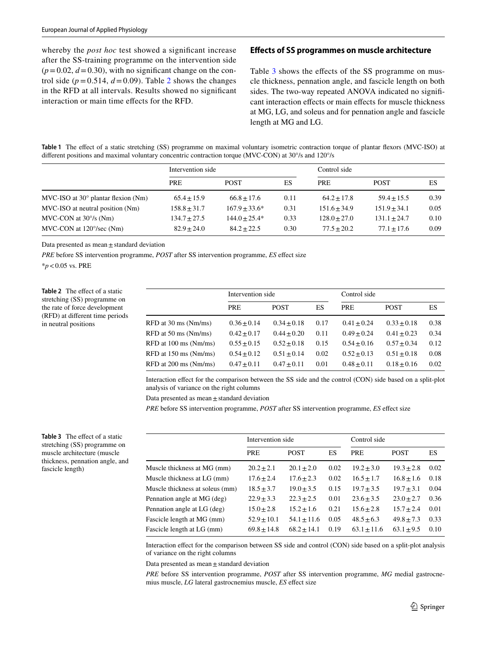whereby the *post hoc* test showed a significant increase after the SS-training programme on the intervention side  $(p=0.02, d=0.30)$ , with no significant change on the control side ( $p = 0.514$ ,  $d = 0.09$ ). Table [2](#page-4-1) shows the changes in the RFD at all intervals. Results showed no signifcant interaction or main time efects for the RFD.

#### **Efects of SS programmes on muscle architecture**

Table [3](#page-4-2) shows the effects of the SS programme on muscle thickness, pennation angle, and fascicle length on both sides. The two-way repeated ANOVA indicated no signifcant interaction efects or main efects for muscle thickness at MG, LG, and soleus and for pennation angle and fascicle length at MG and LG.

<span id="page-4-0"></span>**Table 1** The efect of a static stretching (SS) programme on maximal voluntary isometric contraction torque of plantar fexors (MVC-ISO) at different positions and maximal voluntary concentric contraction torque (MVC-CON) at 30°/s and 120°/s

|                                                  | Intervention side |                 |      | Control side   |                |      |
|--------------------------------------------------|-------------------|-----------------|------|----------------|----------------|------|
|                                                  | <b>PRE</b>        | <b>POST</b>     | ES   | <b>PRE</b>     | <b>POST</b>    | ES   |
| $MVC$ -ISO at 30 $^{\circ}$ plantar flexion (Nm) | $65.4 + 15.9$     | $66.8 \pm 17.6$ | 0.11 | $64.2 + 17.8$  | $59.4 + 15.5$  | 0.39 |
| MVC-ISO at neutral position (Nm)                 | $158.8 \pm 31.7$  | $167.9 + 33.6*$ | 0.31 | $151.6 + 34.9$ | $151.9 + 34.1$ | 0.05 |
| MVC-CON at $30\%$ (Nm)                           | $134.7 + 27.5$    | $144.0 + 25.4*$ | 0.33 | $128.0 + 27.0$ | $131.1 + 24.7$ | 0.10 |
| $MVC$ -CON at $120^{\circ}/sec$ (Nm)             | $82.9 + 24.0$     | $84.2 + 22.5$   | 0.30 | $77.5 + 20.2$  | $77.1 + 17.6$  | 0.09 |

Data presented as mean $\pm$ standard deviation

*PRE* before SS intervention programme, *POST* after SS intervention programme, *ES* efect size

\**p*<0.05 vs. PRE

<span id="page-4-1"></span>**Table 2** The effect of a static stretching (SS) programme on the rate of force development (RFD) at diferent time periods in neutral positions

|                       | Intervention side |                 |      | Control side    |                 |      |  |
|-----------------------|-------------------|-----------------|------|-----------------|-----------------|------|--|
|                       | <b>PRE</b>        | <b>POST</b>     | ES   | <b>PRE</b>      | <b>POST</b>     | ES   |  |
| RFD at 30 ms (Nm/ms)  | $0.36 \pm 0.14$   | $0.34 \pm 0.18$ | 0.17 | $0.41 \pm 0.24$ | $0.33 \pm 0.18$ | 0.38 |  |
| RFD at 50 ms (Nm/ms)  | $0.42 + 0.17$     | $0.44 + 0.20$   | 0.11 | $0.49 + 0.24$   | $0.41 + 0.23$   | 0.34 |  |
| RFD at 100 ms (Nm/ms) | $0.55 + 0.15$     | $0.52 + 0.18$   | 0.15 | $0.54 + 0.16$   | $0.57 + 0.34$   | 0.12 |  |
| RFD at 150 ms (Nm/ms) | $0.54 + 0.12$     | $0.51 + 0.14$   | 0.02 | $0.52 + 0.13$   | $0.51 + 0.18$   | 0.08 |  |
| RFD at 200 ms (Nm/ms) | $0.47 + 0.11$     | $0.47 + 0.11$   | 0.01 | $0.48 + 0.11$   | $0.18 + 0.16$   | 0.02 |  |

Interaction efect for the comparison between the SS side and the control (CON) side based on a split-plot analysis of variance on the right columns

Data presented as mean $\pm$ standard deviation

*PRE* before SS intervention programme, *POST* after SS intervention programme, *ES* efect size

|                                 | Intervention side |                 |      | Control side    |                |      |
|---------------------------------|-------------------|-----------------|------|-----------------|----------------|------|
|                                 | PRE               | <b>POST</b>     | ES   | <b>PRE</b>      | <b>POST</b>    | ES   |
| Muscle thickness at MG (mm)     | $20.2 \pm 2.1$    | $20.1 \pm 2.0$  | 0.02 | $19.2 \pm 3.0$  | $19.3 \pm 2.8$ | 0.02 |
| Muscle thickness at LG (mm)     | $17.6 \pm 2.4$    | $17.6 \pm 2.3$  | 0.02 | $16.5 \pm 1.7$  | $16.8 \pm 1.6$ | 0.18 |
| Muscle thickness at soleus (mm) | $18.5 \pm 3.7$    | $19.0 \pm 3.5$  | 0.15 | $19.7 \pm 3.5$  | $19.7 \pm 3.1$ | 0.04 |
| Pennation angle at MG (deg)     | $22.9 \pm 3.3$    | $22.3 + 2.5$    | 0.01 | $23.6 \pm 3.5$  | $23.0 \pm 2.7$ | 0.36 |
| Pennation angle at LG (deg)     | $15.0 \pm 2.8$    | $15.2 \pm 1.6$  | 0.21 | $15.6 \pm 2.8$  | $15.7 + 2.4$   | 0.01 |
| Fascicle length at MG (mm)      | $52.9 \pm 10.1$   | $54.1 \pm 11.6$ | 0.05 | $48.5 \pm 6.3$  | $49.8 \pm 7.3$ | 0.33 |
| Fascicle length at LG (mm)      | $69.8 \pm 14.8$   | $68.2 + 14.1$   | 0.19 | $63.1 \pm 11.6$ | $63.1 \pm 9.5$ | 0.10 |

Interaction efect for the comparison between SS side and control (CON) side based on a split-plot analysis of variance on the right columns

Data presented as mean $\pm$ standard deviation

*PRE* before SS intervention programme, *POST* after SS intervention programme, *MG* medial gastrocnemius muscle, *LG* lateral gastrocnemius muscle, *ES* efect size

<span id="page-4-2"></span>**Table 3** The effect of a static stretching (SS) programme on muscle architecture (muscle thickness, pennation angle, and fascicle length)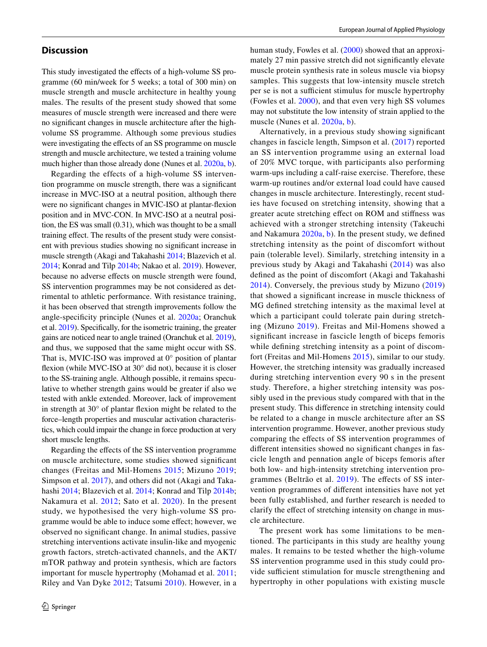### **Discussion**

This study investigated the effects of a high-volume SS programme (60 min/week for 5 weeks; a total of 300 min) on muscle strength and muscle architecture in healthy young males. The results of the present study showed that some measures of muscle strength were increased and there were no signifcant changes in muscle architecture after the highvolume SS programme. Although some previous studies were investigating the effects of an SS programme on muscle strength and muscle architecture, we tested a training volume much higher than those already done (Nunes et al. [2020a,](#page-7-22) [b](#page-7-15)).

Regarding the effects of a high-volume SS intervention programme on muscle strength, there was a signifcant increase in MVC-ISO at a neutral position, although there were no signifcant changes in MVIC-ISO at plantar-fexion position and in MVC-CON. In MVC-ISO at a neutral position, the ES was small (0.31), which was thought to be a small training efect. The results of the present study were consistent with previous studies showing no signifcant increase in muscle strength (Akagi and Takahashi [2014;](#page-6-3) Blazevich et al. [2014;](#page-6-0) Konrad and Tilp [2014b](#page-7-3); Nakao et al. [2019](#page-7-23)). However, because no adverse effects on muscle strength were found, SS intervention programmes may be not considered as detrimental to athletic performance. With resistance training, it has been observed that strength improvements follow the angle-specifcity principle (Nunes et al. [2020a](#page-7-22); Oranchuk et al. [2019\)](#page-7-24). Specifcally, for the isometric training, the greater gains are noticed near to angle trained (Oranchuk et al. [2019](#page-7-24)), and thus, we supposed that the same might occur with SS. That is, MVIC-ISO was improved at  $0^{\circ}$  position of plantar fexion (while MVC-ISO at 30° did not), because it is closer to the SS-training angle. Although possible, it remains speculative to whether strength gains would be greater if also we tested with ankle extended. Moreover, lack of improvement in strength at 30° of plantar fexion might be related to the force–length properties and muscular activation characteristics, which could impair the change in force production at very short muscle lengths.

Regarding the efects of the SS intervention programme on muscle architecture, some studies showed signifcant changes (Freitas and Mil-Homens [2015](#page-6-4); Mizuno [2019](#page-7-13); Simpson et al. [2017](#page-7-2)), and others did not (Akagi and Takahashi [2014](#page-6-3); Blazevich et al. [2014](#page-6-0); Konrad and Tilp [2014b](#page-7-3); Nakamura et al. [2012;](#page-7-0) Sato et al. [2020\)](#page-7-14). In the present study, we hypothesised the very high-volume SS programme would be able to induce some efect; however, we observed no signifcant change. In animal studies, passive stretching interventions activate insulin-like and myogenic growth factors, stretch-activated channels, and the AKT/ mTOR pathway and protein synthesis, which are factors important for muscle hypertrophy (Mohamad et al. [2011](#page-7-25); Riley and Van Dyke [2012](#page-7-26); Tatsumi [2010](#page-7-27)). However, in a human study, Fowles et al. [\(2000\)](#page-6-15) showed that an approximately 27 min passive stretch did not signifcantly elevate muscle protein synthesis rate in soleus muscle via biopsy samples. This suggests that low-intensity muscle stretch per se is not a sufficient stimulus for muscle hypertrophy (Fowles et al. [2000\)](#page-6-15), and that even very high SS volumes may not substitute the low intensity of strain applied to the muscle (Nunes et al. [2020a,](#page-7-22) [b](#page-7-15)).

Alternatively, in a previous study showing signifcant changes in fascicle length, Simpson et al. ([2017](#page-7-2)) reported an SS intervention programme using an external load of 20% MVC torque, with participants also performing warm-ups including a calf-raise exercise. Therefore, these warm-up routines and/or external load could have caused changes in muscle architecture. Interestingly, recent studies have focused on stretching intensity, showing that a greater acute stretching efect on ROM and stifness was achieved with a stronger stretching intensity (Takeuchi and Nakamura [2020a](#page-7-28), [b\)](#page-7-29). In the present study, we defned stretching intensity as the point of discomfort without pain (tolerable level). Similarly, stretching intensity in a previous study by Akagi and Takahashi ([2014\)](#page-6-3) was also defned as the point of discomfort (Akagi and Takahashi [2014\)](#page-6-3). Conversely, the previous study by Mizuno ([2019\)](#page-7-13) that showed a signifcant increase in muscle thickness of MG defned stretching intensity as the maximal level at which a participant could tolerate pain during stretching (Mizuno [2019\)](#page-7-13). Freitas and Mil-Homens showed a signifcant increase in fascicle length of biceps femoris while defining stretching intensity as a point of discomfort (Freitas and Mil-Homens [2015](#page-6-4)), similar to our study. However, the stretching intensity was gradually increased during stretching intervention every 90 s in the present study. Therefore, a higher stretching intensity was possibly used in the previous study compared with that in the present study. This diference in stretching intensity could be related to a change in muscle architecture after an SS intervention programme. However, another previous study comparing the efects of SS intervention programmes of diferent intensities showed no signifcant changes in fascicle length and pennation angle of biceps femoris after both low- and high-intensity stretching intervention programmes (Beltrão et al. [2019](#page-6-5)). The efects of SS intervention programmes of diferent intensities have not yet been fully established, and further research is needed to clarify the efect of stretching intensity on change in muscle architecture.

The present work has some limitations to be mentioned. The participants in this study are healthy young males. It remains to be tested whether the high-volume SS intervention programme used in this study could provide sufficient stimulation for muscle strengthening and hypertrophy in other populations with existing muscle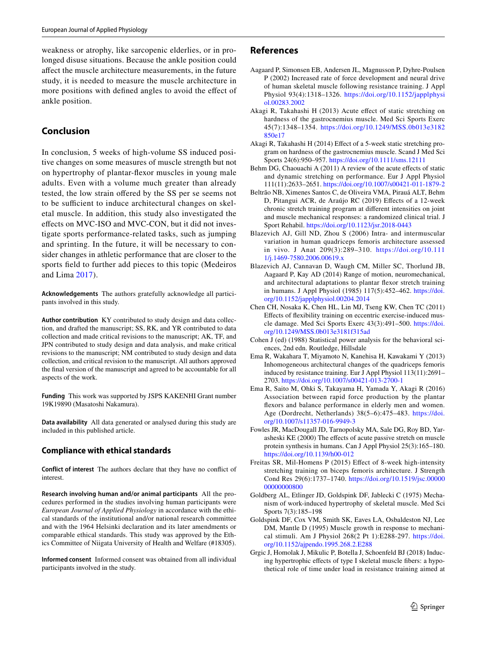weakness or atrophy, like sarcopenic elderlies, or in prolonged disuse situations. Because the ankle position could afect the muscle architecture measurements, in the future study, it is needed to measure the muscle architecture in more positions with defned angles to avoid the efect of ankle position.

# **Conclusion**

In conclusion, 5 weeks of high-volume SS induced positive changes on some measures of muscle strength but not on hypertrophy of plantar-fexor muscles in young male adults. Even with a volume much greater than already tested, the low strain ofered by the SS per se seems not to be sufficient to induce architectural changes on skeletal muscle. In addition, this study also investigated the efects on MVC-ISO and MVC-CON, but it did not investigate sports performance-related tasks, such as jumping and sprinting. In the future, it will be necessary to consider changes in athletic performance that are closer to the sports feld to further add pieces to this topic (Medeiros and Lima [2017\)](#page-7-11).

**Acknowledgements** The authors gratefully acknowledge all participants involved in this study.

**Author contribution** KY contributed to study design and data collection, and drafted the manuscript; SS, RK, and YR contributed to data collection and made critical revisions to the manuscript; AK, TF, and JPN contributed to study design and data analysis, and make critical revisions to the manuscript; NM contributed to study design and data collection, and critical revision to the manuscript. All authors approved the fnal version of the manuscript and agreed to be accountable for all aspects of the work.

**Funding** This work was supported by JSPS KAKENHI Grant number 19K19890 (Masatoshi Nakamura).

**Data availability** All data generated or analysed during this study are included in this published article.

## **Compliance with ethical standards**

**Conflict of interest** The authors declare that they have no confict of interest.

**Research involving human and/or animal participants** All the procedures performed in the studies involving human participants were *European Journal of Applied Physiology* in accordance with the ethical standards of the institutional and/or national research committee and with the 1964 Helsinki declaration and its later amendments or comparable ethical standards. This study was approved by the Ethics Committee of Niigata University of Health and Welfare (#18305).

**Informed consent** Informed consent was obtained from all individual participants involved in the study.

# **References**

- <span id="page-6-9"></span>Aagaard P, Simonsen EB, Andersen JL, Magnusson P, Dyhre-Poulsen P (2002) Increased rate of force development and neural drive of human skeletal muscle following resistance training. J Appl Physiol 93(4):1318–1326. [https://doi.org/10.1152/japplphysi](https://doi.org/10.1152/japplphysiol.00283.2002) [ol.00283.2002](https://doi.org/10.1152/japplphysiol.00283.2002)
- <span id="page-6-11"></span>Akagi R, Takahashi H (2013) Acute efect of static stretching on hardness of the gastrocnemius muscle. Med Sci Sports Exerc 45(7):1348–1354. [https://doi.org/10.1249/MSS.0b013e3182](https://doi.org/10.1249/MSS.0b013e3182850e17) [850e17](https://doi.org/10.1249/MSS.0b013e3182850e17)
- <span id="page-6-3"></span>Akagi R, Takahashi H (2014) Efect of a 5-week static stretching program on hardness of the gastrocnemius muscle. Scand J Med Sci Sports 24(6):950–957. <https://doi.org/10.1111/sms.12111>
- <span id="page-6-1"></span>Behm DG, Chaouachi A (2011) A review of the acute effects of static and dynamic stretching on performance. Eur J Appl Physiol 111(11):2633–2651.<https://doi.org/10.1007/s00421-011-1879-2>
- <span id="page-6-5"></span>Beltrão NB, Ximenes Santos C, de Oliveira VMA, Pirauá ALT, Behm D, Pitangui ACR, de Araújo RC (2019) Efects of a 12-week chronic stretch training program at diferent intensities on joint and muscle mechanical responses: a randomized clinical trial. J Sport Rehabil. <https://doi.org/10.1123/jsr.2018-0443>
- <span id="page-6-12"></span>Blazevich AJ, Gill ND, Zhou S (2006) Intra- and intermuscular variation in human quadriceps femoris architecture assessed in vivo. J Anat 209(3):289–310. [https://doi.org/10.111](https://doi.org/10.1111/j.1469-7580.2006.00619.x) [1/j.1469-7580.2006.00619.x](https://doi.org/10.1111/j.1469-7580.2006.00619.x)
- <span id="page-6-0"></span>Blazevich AJ, Cannavan D, Waugh CM, Miller SC, Thorlund JB, Aagaard P, Kay AD (2014) Range of motion, neuromechanical, and architectural adaptations to plantar fexor stretch training in humans. J Appl Physiol (1985) 117(5):452–462. [https://doi.](https://doi.org/10.1152/japplphysiol.00204.2014) [org/10.1152/japplphysiol.00204.2014](https://doi.org/10.1152/japplphysiol.00204.2014)
- <span id="page-6-2"></span>Chen CH, Nosaka K, Chen HL, Lin MJ, Tseng KW, Chen TC (2011) Efects of fexibility training on eccentric exercise-induced muscle damage. Med Sci Sports Exerc 43(3):491–500. [https://doi.](https://doi.org/10.1249/MSS.0b013e3181f315ad) [org/10.1249/MSS.0b013e3181f315ad](https://doi.org/10.1249/MSS.0b013e3181f315ad)
- <span id="page-6-14"></span>Cohen J (ed) (1988) Statistical power analysis for the behavioral sciences, 2nd edn. Routledge, Hillsdale
- <span id="page-6-13"></span>Ema R, Wakahara T, Miyamoto N, Kanehisa H, Kawakami Y (2013) Inhomogeneous architectural changes of the quadriceps femoris induced by resistance training. Eur J Appl Physiol 113(11):2691– 2703. <https://doi.org/10.1007/s00421-013-2700-1>
- <span id="page-6-10"></span>Ema R, Saito M, Ohki S, Takayama H, Yamada Y, Akagi R (2016) Association between rapid force production by the plantar fexors and balance performance in elderly men and women. Age (Dordrecht, Netherlands) 38(5–6):475–483. [https://doi.](https://doi.org/10.1007/s11357-016-9949-3) [org/10.1007/s11357-016-9949-3](https://doi.org/10.1007/s11357-016-9949-3)
- <span id="page-6-15"></span>Fowles JR, MacDougall JD, Tarnopolsky MA, Sale DG, Roy BD, Yarasheski KE (2000) The efects of acute passive stretch on muscle protein synthesis in humans. Can J Appl Physiol 25(3):165–180. <https://doi.org/10.1139/h00-012>
- <span id="page-6-4"></span>Freitas SR, Mil-Homens P (2015) Efect of 8-week high-intensity stretching training on biceps femoris architecture. J Strength Cond Res 29(6):1737–1740. [https://doi.org/10.1519/jsc.00000](https://doi.org/10.1519/jsc.0000000000000800) [00000000800](https://doi.org/10.1519/jsc.0000000000000800)
- <span id="page-6-6"></span>Goldberg AL, Etlinger JD, Goldspink DF, Jablecki C (1975) Mechanism of work-induced hypertrophy of skeletal muscle. Med Sci Sports 7(3):185–198
- <span id="page-6-7"></span>Goldspink DF, Cox VM, Smith SK, Eaves LA, Osbaldeston NJ, Lee DM, Mantle D (1995) Muscle growth in response to mechanical stimuli. Am J Physiol 268(2 Pt 1):E288-297. [https://doi.](https://doi.org/10.1152/ajpendo.1995.268.2.E288) [org/10.1152/ajpendo.1995.268.2.E288](https://doi.org/10.1152/ajpendo.1995.268.2.E288)
- <span id="page-6-8"></span>Grgic J, Homolak J, Mikulic P, Botella J, Schoenfeld BJ (2018) Inducing hypertrophic efects of type I skeletal muscle fbers: a hypothetical role of time under load in resistance training aimed at